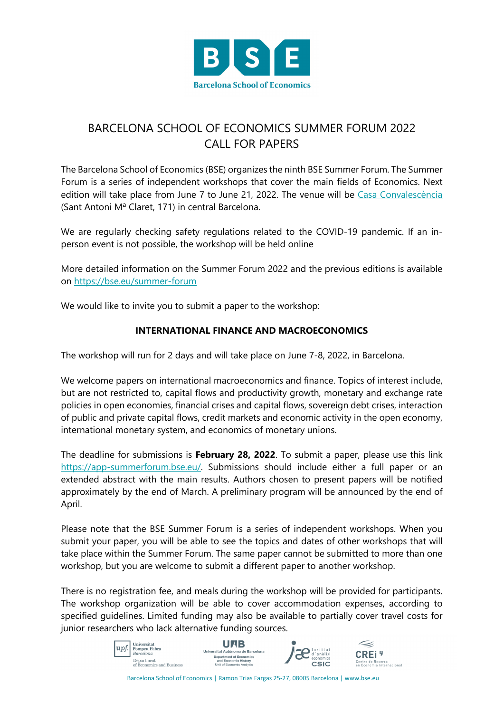

## BARCELONA SCHOOL OF ECONOMICS SUMMER FORUM 2022 CALL FOR PAPERS

The Barcelona School of Economics (BSE) organizes the ninth BSE Summer Forum. The Summer Forum is a series of independent workshops that cover the main fields of Economics. Next edition will take place from June 7 to June 21, 2022. The venue will be Casa Convalescència (Sant Antoni Mª Claret, 171) in central Barcelona.

We are regularly checking safety regulations related to the COVID-19 pandemic. If an inperson event is not possible, the workshop will be held online

More detailed information on the Summer Forum 2022 and the previous editions is available on https://bse.eu/summer-forum

We would like to invite you to submit a paper to the workshop:

## **INTERNATIONAL FINANCE AND MACROECONOMICS**

The workshop will run for 2 days and will take place on June 7-8, 2022, in Barcelona.

We welcome papers on international macroeconomics and finance. Topics of interest include, but are not restricted to, capital flows and productivity growth, monetary and exchange rate policies in open economies, financial crises and capital flows, sovereign debt crises, interaction of public and private capital flows, credit markets and economic activity in the open economy, international monetary system, and economics of monetary unions.

The deadline for submissions is **February 28, 2022**. To submit a paper, please use this link https://app-summerforum.bse.eu/. Submissions should include either a full paper or an extended abstract with the main results. Authors chosen to present papers will be notified approximately by the end of March. A preliminary program will be announced by the end of April.

Please note that the BSE Summer Forum is a series of independent workshops. When you submit your paper, you will be able to see the topics and dates of other workshops that will take place within the Summer Forum. The same paper cannot be submitted to more than one workshop, but you are welcome to submit a different paper to another workshop.

There is no registration fee, and meals during the workshop will be provided for participants. The workshop organization will be able to cover accommodation expenses, according to specified guidelines. Limited funding may also be available to partially cover travel costs for junior researchers who lack alternative funding sources.